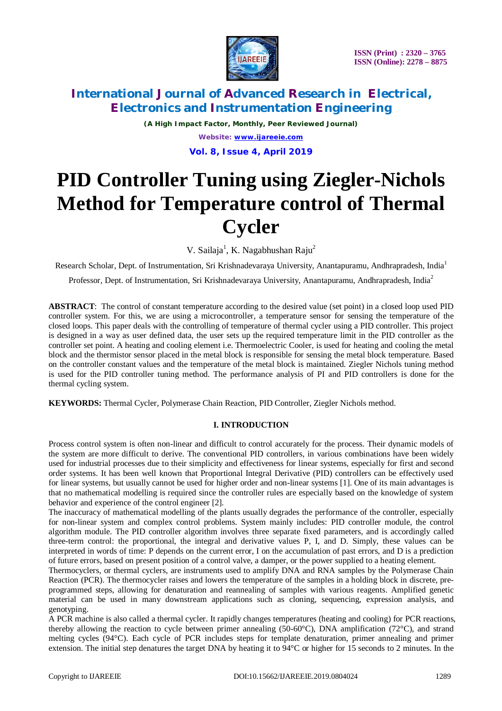

*(A High Impact Factor, Monthly, Peer Reviewed Journal) Website: [www.ijareeie.com](http://www.ijareeie.com)* **Vol. 8, Issue 4, April 2019**

# **PID Controller Tuning using Ziegler-Nichols Method for Temperature control of Thermal Cycler**

V. Sailaja<sup>1</sup>, K. Nagabhushan Raju<sup>2</sup>

Research Scholar, Dept. of Instrumentation, Sri Krishnadevaraya University, Anantapuramu, Andhrapradesh, India<sup>1</sup>

Professor, Dept. of Instrumentation, Sri Krishnadevaraya University, Anantapuramu, Andhrapradesh, India<sup>2</sup>

**ABSTRACT**: The control of constant temperature according to the desired value (set point) in a closed loop used PID controller system. For this, we are using a microcontroller, a temperature sensor for sensing the temperature of the closed loops. This paper deals with the controlling of temperature of thermal cycler using a PID controller. This project is designed in a way as user defined data, the user sets up the required temperature limit in the PID controller as the controller set point. A heating and cooling element i.e. Thermoelectric Cooler, is used for heating and cooling the metal block and the thermistor sensor placed in the metal block is responsible for sensing the metal block temperature. Based on the controller constant values and the temperature of the metal block is maintained. Ziegler Nichols tuning method is used for the PID controller tuning method. The performance analysis of PI and PID controllers is done for the thermal cycling system.

**KEYWORDS:** Thermal Cycler, Polymerase Chain Reaction, PID Controller, Ziegler Nichols method.

### **I. INTRODUCTION**

Process control system is often non-linear and difficult to control accurately for the process. Their dynamic models of the system are more difficult to derive. The conventional PID controllers, in various combinations have been widely used for industrial processes due to their simplicity and effectiveness for linear systems, especially for first and second order systems. It has been well known that Proportional Integral Derivative (PID) controllers can be effectively used for linear systems, but usually cannot be used for higher order and non-linear systems [1]. One of its main advantages is that no mathematical modelling is required since the controller rules are especially based on the knowledge of system behavior and experience of the control engineer [2].

The inaccuracy of mathematical modelling of the plants usually degrades the performance of the controller, especially for non-linear system and complex control problems. System mainly includes: PID controller module, the control algorithm module. The PID controller algorithm involves three separate fixed parameters, and is accordingly called three-term control: the proportional, the integral and derivative values P, I, and D. Simply, these values can be interpreted in words of time: P depends on the current error, I on the accumulation of past errors, and D is a prediction of future errors, based on present position of a control valve, a damper, or the power supplied to a heating element.

Thermocyclers, or thermal cyclers, are instruments used to amplify DNA and RNA samples by the Polymerase Chain Reaction (PCR). The thermocycler raises and lowers the temperature of the samples in a holding block in discrete, preprogrammed steps, allowing for denaturation and reannealing of samples with various reagents. Amplified genetic material can be used in many downstream applications such as cloning, sequencing, expression analysis, and genotyping.

A PCR machine is also called a thermal cycler. It rapidly changes temperatures (heating and cooling) for PCR reactions, thereby allowing the reaction to cycle between primer annealing (50-60°C), DNA amplification (72°C), and strand melting cycles (94°C). Each cycle of PCR includes steps for template denaturation, primer annealing and primer extension. The initial step denatures the target DNA by heating it to 94°C or higher for 15 seconds to 2 minutes. In the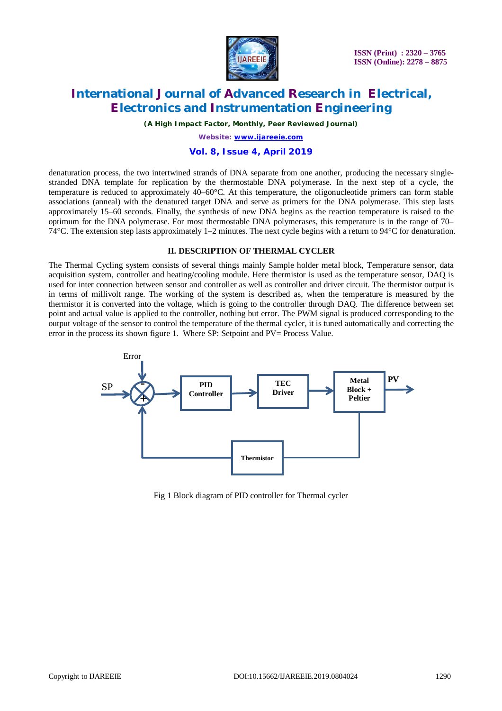

 **ISSN (Print) : 2320 – 3765 ISSN (Online): 2278 – 8875**

### **International Journal of Advanced Research in Electrical, Electronics and Instrumentation Engineering**

*(A High Impact Factor, Monthly, Peer Reviewed Journal)*

*Website: [www.ijareeie.com](http://www.ijareeie.com)*

### **Vol. 8, Issue 4, April 2019**

denaturation process, the two intertwined strands of DNA separate from one another, producing the necessary singlestranded DNA template for replication by the thermostable DNA polymerase. In the next step of a cycle, the temperature is reduced to approximately 40–60°C. At this temperature, the oligonucleotide primers can form stable associations (anneal) with the denatured target DNA and serve as primers for the DNA polymerase. This step lasts approximately 15–60 seconds. Finally, the synthesis of new DNA begins as the reaction temperature is raised to the optimum for the DNA polymerase. For most thermostable DNA polymerases, this temperature is in the range of 70– 74°C. The extension step lasts approximately 1–2 minutes. The next cycle begins with a return to 94°C for denaturation.

#### **II. DESCRIPTION OF THERMAL CYCLER**

The Thermal Cycling system consists of several things mainly Sample holder metal block, Temperature sensor, data acquisition system, controller and heating/cooling module. Here thermistor is used as the temperature sensor, DAQ is used for inter connection between sensor and controller as well as controller and driver circuit. The thermistor output is in terms of millivolt range. The working of the system is described as, when the temperature is measured by the thermistor it is converted into the voltage, which is going to the controller through DAQ. The difference between set point and actual value is applied to the controller, nothing but error. The PWM signal is produced corresponding to the output voltage of the sensor to control the temperature of the thermal cycler, it is tuned automatically and correcting the error in the process its shown figure 1. Where SP: Setpoint and PV= Process Value.



Fig 1 Block diagram of PID controller for Thermal cycler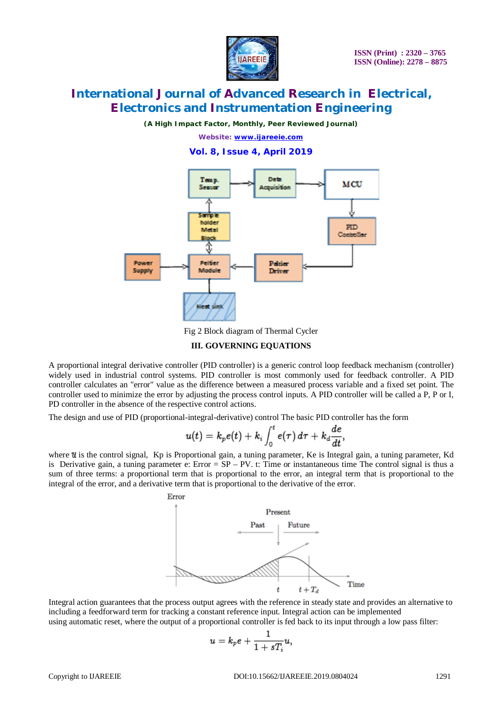

*(A High Impact Factor, Monthly, Peer Reviewed Journal)*

*Website: [www.ijareeie.com](http://www.ijareeie.com)*

**Vol. 8, Issue 4, April 2019**



Fig 2 Block diagram of Thermal Cycler

#### **III. GOVERNING EQUATIONS**

A proportional integral derivative controller (PID controller) is a generic control loop feedback mechanism (controller) widely used in industrial control systems. PID controller is most commonly used for feedback controller. A PID controller calculates an "error" value as the difference between a measured process variable and a fixed set point. The controller used to minimize the error by adjusting the process control inputs. A PID controller will be called a P, P or I, PD controller in the absence of the respective control actions.

The design and use of PID (proportional-integral-derivative) control The basic PID controller has the form

$$
u(t)=k_pe(t)+k_i\int_0^te(\tau)\,d\tau+k_d\frac{de}{dt},
$$

where  $u$  is the control signal, Kp is Proportional gain, a tuning parameter, Ke is Integral gain, a tuning parameter, Kd is Derivative gain, a tuning parameter e: Error = SP – PV. t: Time or instantaneous time The control signal is thus a sum of three terms: a proportional term that is proportional to the error, an integral term that is proportional to the integral of the error, and a derivative term that is proportional to the derivative of the error.



Integral action guarantees that the process output agrees with the reference in steady state and provides an alternative to including a feedforward term for tracking a constant reference input. Integral action can be implemented using automatic reset, where the output of a proportional controller is fed back to its input through a low pass filter:

$$
u=k_p e+\frac{1}{1+sT_i}u,
$$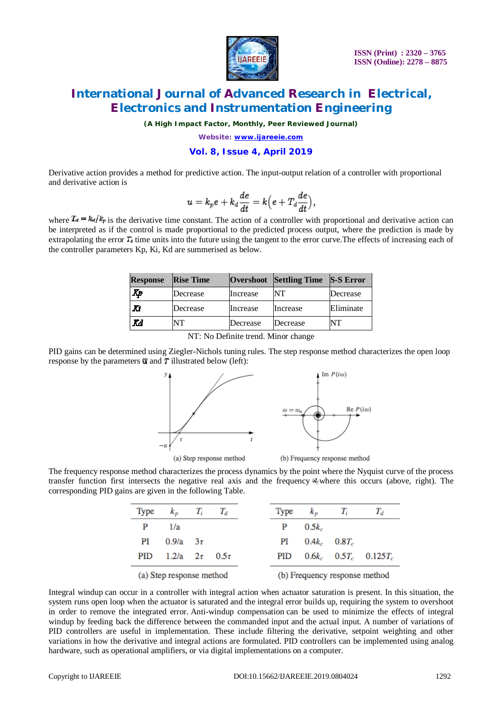

*(A High Impact Factor, Monthly, Peer Reviewed Journal)*

*Website: [www.ijareeie.com](http://www.ijareeie.com)*

#### **Vol. 8, Issue 4, April 2019**

Derivative action provides a method for predictive action. The input-output relation of a controller with proportional and derivative action is

$$
u=k_pe+k_d\frac{de}{dt}=k\Bigl(e+T_d\frac{de}{dt}\Bigr),
$$

where  $T_d = k_d/k_p$  is the derivative time constant. The action of a controller with proportional and derivative action can be interpreted as if the control is made proportional to the predicted process output, where the prediction is made by extrapolating the error  $T_a$  time units into the future using the tangent to the error curve. The effects of increasing each of the controller parameters Kp, Ki, Kd are summerised as below.

| <b>Response</b> | <b>Rise Time</b> |          | Overshoot Settling Time | $S-S Error$ |
|-----------------|------------------|----------|-------------------------|-------------|
| Kp              | Decrease         | Increase | NT                      | Decrease    |
| Ю               | Decrease         | Increase | Increase                | Eliminate   |
| Χd              | NT               | Decrease | Decrease                | NT          |

NT: No Definite trend. Minor change

PID gains can be determined using Ziegler-Nichols tuning rules. The step response method characterizes the open loop response by the parameters  $\alpha$  and  $\tau$  illustrated below (left):



The frequency response method characterizes the process dynamics by the point where the Nyquist curve of the process transfer function first intersects the negative real axis and the frequency  $\omega_c$  where this occurs (above, right). The corresponding PID gains are given in the following Table.

| Type | $k_{p}$                  | $T_i$ | $T_d$                         |  | Type       | $k_{B}$  | T,                | $T_d$                        |
|------|--------------------------|-------|-------------------------------|--|------------|----------|-------------------|------------------------------|
| P    | 1/a                      |       |                               |  | P          | $0.5k_c$ |                   |                              |
| PI   | $0.9/a = 3\tau$          |       |                               |  | PI         |          | $0.4k_c$ $0.8T_c$ |                              |
| PID  | 1.2/a $2\tau$ 0.5 $\tau$ |       |                               |  | <b>PID</b> |          |                   | $0.6k_c$ $0.5T_c$ $0.125T_c$ |
|      | (a) Step response method |       | (b) Frequency response method |  |            |          |                   |                              |

Integral windup can occur in a controller with integral action when actuator saturation is present. In this situation, the system runs open loop when the actuator is saturated and the integral error builds up, requiring the system to overshoot in order to remove the integrated error. Anti-windup compensation can be used to minimize the effects of integral windup by feeding back the difference between the commanded input and the actual input. A number of variations of PID controllers are useful in implementation. These include filtering the derivative, setpoint weighting and other variations in how the derivative and integral actions are formulated. PID controllers can be implemented using analog hardware, such as operational amplifiers, or via digital implementations on a computer.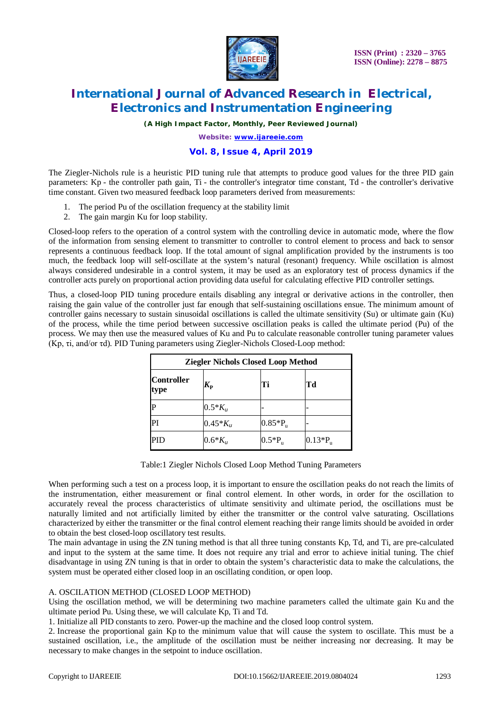

 **ISSN (Print) : 2320 – 3765 ISSN (Online): 2278 – 8875**

# **International Journal of Advanced Research in Electrical, Electronics and Instrumentation Engineering**

*(A High Impact Factor, Monthly, Peer Reviewed Journal)*

*Website: [www.ijareeie.com](http://www.ijareeie.com)*

### **Vol. 8, Issue 4, April 2019**

The Ziegler-Nichols rule is a heuristic PID tuning rule that attempts to produce good values for the three PID gain parameters: Kp - the controller path gain, Ti - the controller's integrator time constant, Td - the controller's derivative time constant. Given two measured feedback loop parameters derived from measurements:

- 1. The period Pu of the oscillation frequency at the stability limit
- 2. The gain margin Ku for loop stability.

Closed-loop refers to the operation of a control system with the controlling device in automatic mode, where the flow of the information from sensing element to transmitter to controller to control element to process and back to sensor represents a continuous feedback loop. If the total amount of signal amplification provided by the instruments is too much, the feedback loop will self-oscillate at the system's natural (resonant) frequency. While oscillation is almost always considered undesirable in a control system, it may be used as an exploratory test of process dynamics if the controller acts purely on proportional action providing data useful for calculating effective PID controller settings.

Thus, a closed-loop PID tuning procedure entails disabling any integral or derivative actions in the controller, then raising the gain value of the controller just far enough that self-sustaining oscillations ensue. The minimum amount of controller gains necessary to sustain sinusoidal oscillations is called the ultimate sensitivity (Su) or ultimate gain (Ku) of the process, while the time period between successive oscillation peaks is called the ultimate period (Pu) of the process. We may then use the measured values of Ku and Pu to calculate reasonable controller tuning parameter values (Kp, τi, and/or τd). PID Tuning parameters using Ziegler-Nichols Closed-Loop method:

| <b>Ziegler Nichols Closed Loop Method</b> |                       |                  |                  |  |  |
|-------------------------------------------|-----------------------|------------------|------------------|--|--|
| <b>Controller</b><br>type                 | $\bm{K}_{\mathbf{P}}$ | Ti               | Td               |  |  |
| Þ                                         | $0.5 * K_u$           |                  |                  |  |  |
| PI                                        | $0.45 * K_{\nu}$      | $0.85*P_{\rm n}$ |                  |  |  |
| PID                                       | $0.6*K_{u}$           | $0.5*P_{\rm n}$  | $0.13*P_{\rm n}$ |  |  |

Table:1 Ziegler Nichols Closed Loop Method Tuning Parameters

When performing such a test on a process loop, it is important to ensure the oscillation peaks do not reach the limits of the instrumentation, either measurement or final control element. In other words, in order for the oscillation to accurately reveal the process characteristics of ultimate sensitivity and ultimate period, the oscillations must be naturally limited and not artificially limited by either the transmitter or the control valve saturating. Oscillations characterized by either the transmitter or the final control element reaching their range limits should be avoided in order to obtain the best closed-loop oscillatory test results.

The main advantage in using the ZN tuning method is that all three tuning constants Kp, Td, and Ti, are pre-calculated and input to the system at the same time. It does not require any trial and error to achieve initial tuning. The chief disadvantage in using ZN tuning is that in order to obtain the system's characteristic data to make the calculations, the system must be operated either closed loop in an oscillating condition, or open loop.

#### A. OSCILATION METHOD (CLOSED LOOP METHOD)

Using the oscillation method, we will be determining two machine parameters called the ultimate gain Ku and the ultimate period Pu. Using these, we will calculate Kp, Ti and Td.

1. Initialize all PID constants to zero. Power-up the machine and the closed loop control system.

2. Increase the proportional gain Kp to the minimum value that will cause the system to oscillate. This must be a sustained oscillation, i.e., the amplitude of the oscillation must be neither increasing nor decreasing. It may be necessary to make changes in the setpoint to induce oscillation.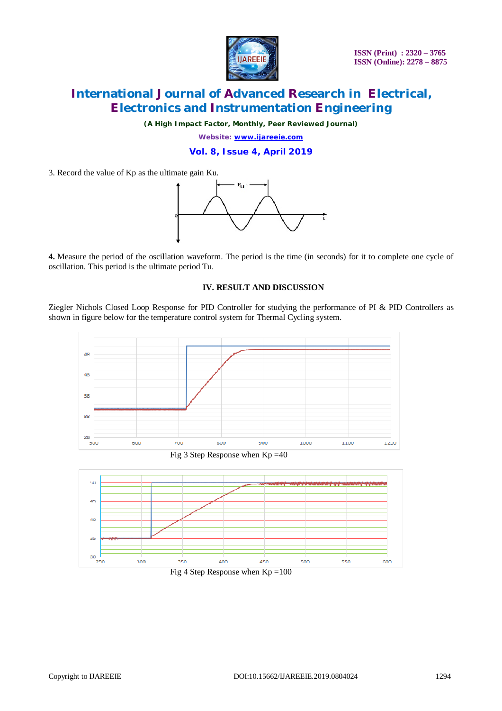

*(A High Impact Factor, Monthly, Peer Reviewed Journal)*

*Website: [www.ijareeie.com](http://www.ijareeie.com)* **Vol. 8, Issue 4, April 2019**

3. Record the value of Kp as the ultimate gain Ku.



**4.** Measure the period of the oscillation waveform. The period is the time (in seconds) for it to complete one cycle of oscillation. This period is the ultimate period Tu.

#### **IV. RESULT AND DISCUSSION**

Ziegler Nichols Closed Loop Response for PID Controller for studying the performance of PI & PID Controllers as shown in figure below for the temperature control system for Thermal Cycling system.



![](_page_5_Figure_11.jpeg)

![](_page_5_Figure_12.jpeg)

![](_page_5_Figure_13.jpeg)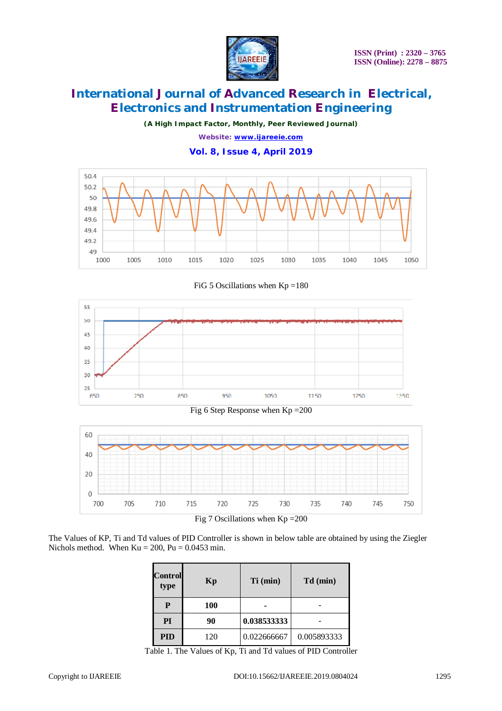![](_page_6_Picture_0.jpeg)

*(A High Impact Factor, Monthly, Peer Reviewed Journal)*

*Website: [www.ijareeie.com](http://www.ijareeie.com)*

**Vol. 8, Issue 4, April 2019**

![](_page_6_Figure_6.jpeg)

FiG 5 Oscillations when  $Kp = 180$ 

![](_page_6_Figure_8.jpeg)

Fig 6 Step Response when Kp =200

![](_page_6_Figure_10.jpeg)

The Values of KP, Ti and Td values of PID Controller is shown in below table are obtained by using the Ziegler Nichols method. When  $Ku = 200$ ,  $Pu = 0.0453$  min.

| <b>Control</b><br>type | Kp         | Ti (min)    | Td (min)    |
|------------------------|------------|-------------|-------------|
| P                      | <b>100</b> |             |             |
| PI                     | 90         | 0.038533333 |             |
| <b>PID</b>             | 120        | 0.022666667 | 0.005893333 |

Table 1. The Values of Kp, Ti and Td values of PID Controller